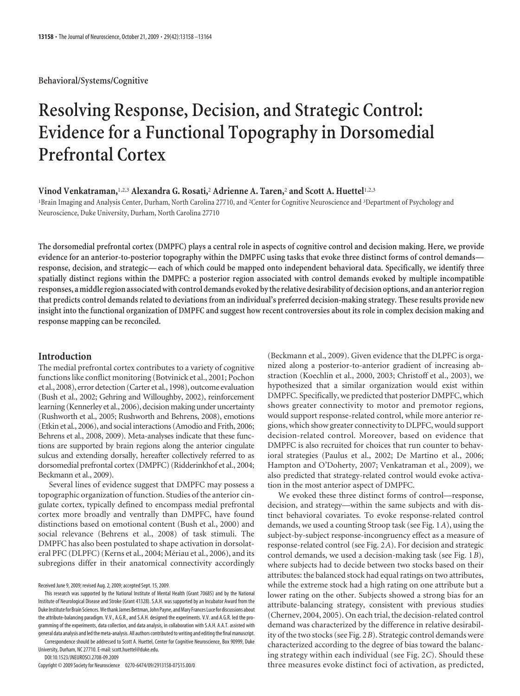**Behavioral/Systems/Cognitive**

# **Resolving Response, Decision, and Strategic Control: Evidence for a Functional Topography in Dorsomedial Prefrontal Cortex**

#### **Vinod Venkatraman,**1,2,3 **Alexandra G. Rosati,**<sup>2</sup> **Adrienne A. Taren,**<sup>2</sup> **and Scott A. Huettel**1,2,3

<sup>1</sup>Brain Imaging and Analysis Center, Durham, North Carolina 27710, and <sup>2</sup>Center for Cognitive Neuroscience and <sup>3</sup>Department of Psychology and Neuroscience, Duke University, Durham, North Carolina 27710

**The dorsomedial prefrontal cortex (DMPFC) plays a central role in aspects of cognitive control and decision making. Here, we provide evidence for an anterior-to-posterior topography within the DMPFC using tasks that evoke three distinct forms of control demands response, decision, and strategic— each of which could be mapped onto independent behavioral data. Specifically, we identify three spatially distinct regions within the DMPFC: a posterior region associated with control demands evoked by multiple incompatible responses, a middle region associated with control demands evoked bythe relative desirability of decision options, and an anterior region that predicts control demands related to deviations from an individual's preferred decision-making strategy. These results provide new insight into the functional organization of DMPFC and suggest how recent controversies about its role in complex decision making and response mapping can be reconciled.**

## **Introduction**

The medial prefrontal cortex contributes to a variety of cognitive functions like conflict monitoring (Botvinick et al., 2001; Pochon et al., 2008), error detection (Carter et al., 1998), outcome evaluation (Bush et al., 2002; Gehring and Willoughby, 2002), reinforcement learning (Kennerley et al., 2006), decision making under uncertainty (Rushworth et al., 2005; Rushworth and Behrens, 2008), emotions (Etkin et al., 2006), and social interactions (Amodio and Frith, 2006; Behrens et al., 2008, 2009). Meta-analyses indicate that these functions are supported by brain regions along the anterior cingulate sulcus and extending dorsally, hereafter collectively referred to as dorsomedial prefrontal cortex (DMPFC) (Ridderinkhof et al., 2004; Beckmann et al., 2009).

Several lines of evidence suggest that DMPFC may possess a topographic organization of function. Studies of the anterior cingulate cortex, typically defined to encompass medial prefrontal cortex more broadly and ventrally than DMPFC, have found distinctions based on emotional content (Bush et al., 2000) and social relevance (Behrens et al., 2008) of task stimuli. The DMPFC has also been postulated to shape activation in dorsolateral PFC (DLPFC) (Kerns et al., 2004; Mériau et al., 2006), and its subregions differ in their anatomical connectivity accordingly

Received June 9, 2009; revised Aug. 2, 2009; accepted Sept. 15, 2009.

This research was supported by the National Institute of Mental Health (Grant 70685) and by the National Institute of Neurological Disease and Stroke (Grant 41328). S.A.H. was supported by an Incubator Award from the Duke Institute for Brain Sciences. We thank James Bettman, John Payne, and Mary Frances Luce for discussions about the attribute-balancing paradigm. V.V., A.G.R., and S.A.H. designed the experiments. V.V. and A.G.R. led the programming of the experiments, data collection, and data analysis, in collaboration with S.A.H. A.A.T. assisted with general data analysis and led the meta-analysis. All authors contributed to writing and editing the final manuscript. Correspondence should be addressed to Scott A. Huettel, Center for Cognitive Neuroscience, Box 90999, Duke University, Durham, NC 27710. E-mail: scott.huettel@duke.edu.

DOI:10.1523/JNEUROSCI.2708-09.2009

Copyright © 2009 Society for Neuroscience 0270-6474/09/2913158-07\$15.00/0

(Beckmann et al., 2009). Given evidence that the DLPFC is organized along a posterior-to-anterior gradient of increasing abstraction (Koechlin et al., 2000, 2003; Christoff et al., 2003), we hypothesized that a similar organization would exist within DMPFC. Specifically, we predicted that posterior DMPFC, which shows greater connectivity to motor and premotor regions, would support response-related control, while more anterior regions, which show greater connectivity to DLPFC, would support decision-related control. Moreover, based on evidence that DMPFC is also recruited for choices that run counter to behavioral strategies (Paulus et al., 2002; De Martino et al., 2006; Hampton and O'Doherty, 2007; Venkatraman et al., 2009), we also predicted that strategy-related control would evoke activation in the most anterior aspect of DMPFC.

We evoked these three distinct forms of control—response, decision, and strategy—within the same subjects and with distinct behavioral covariates. To evoke response-related control demands, we used a counting Stroop task (see Fig. 1*A*), using the subject-by-subject response-incongruency effect as a measure of response-related control (see Fig. 2*A*). For decision and strategic control demands, we used a decision-making task (see Fig. 1*B*), where subjects had to decide between two stocks based on their attributes: the balanced stock had equal ratings on two attributes, while the extreme stock had a high rating on one attribute but a lower rating on the other. Subjects showed a strong bias for an attribute-balancing strategy, consistent with previous studies (Chernev, 2004, 2005). On each trial, the decision-related control demand was characterized by the difference in relative desirability of the two stocks (see Fig. 2*B*). Strategic control demands were characterized according to the degree of bias toward the balancing strategy within each individual (see Fig. 2*C*). Should these three measures evoke distinct foci of activation, as predicted,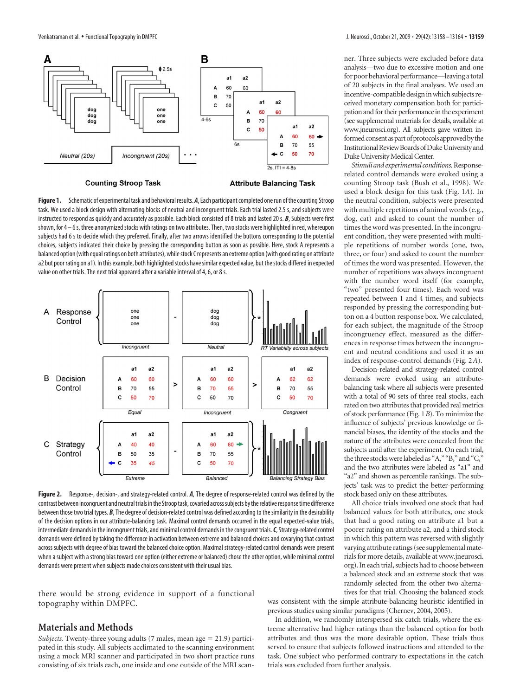

#### **Counting Stroop Task**

**Attribute Balancing Task** 

**Figure 1.** Schematic of experimental task and behavioral results. *A*, Each participant completed one run of the counting Stroop task. We used a block design with alternating blocks of neutral and incongruent trials. Each trial lasted 2.5 s, and subjects were instructed to respond as quickly and accurately as possible. Each block consisted of 8 trials and lasted 20 s. *B*, Subjects were first shown, for 4 – 6 s, three anonymized stocks with ratings on two attributes. Then, two stocks were highlighted in red, whereupon subjects had 6 s to decide which they preferred. Finally, after two arrows identified the buttons corresponding to the potential choices, subjects indicated their choice by pressing the corresponding button as soon as possible. Here, stock A represents a balanced option (with equal ratings on both attributes), while stock C represents an extreme option (with good rating on attribute a2 but poor rating on a1). In this example, both highlighted stocks have similar expected value, but the stocks differed in expected value on other trials. The next trial appeared after a variable interval of 4, 6, or 8 s.



**Figure 2.** Response-, decision-, and strategy-related control. *A*, The degree of response-related control was defined by the contrast between incongruent and neutraltrials inthe Strooptask, covaried acrosssubjects bytherelativeresponsetime difference between those two trial types. **B**, The degree of decision-related control was defined according to the similarity in the desirability of the decision options in our attribute-balancing task. Maximal control demands occurred in the equal expected-value trials, intermediate demands in the incongruent trials, and minimal control demands in the congruent trials.*C*, Strategy-related control demands were defined by taking the difference in activation between extreme and balanced choices and covarying that contrast across subjects with degree of bias toward the balanced choice option. Maximal strategy-related control demands were present when a subject with a strong bias toward one option (either extreme or balanced) chose the other option, while minimal control demands were present when subjects made choices consistent with their usual bias.

there would be strong evidence in support of a functional topography within DMPFC.

## **Materials and Methods**

*Subjects*. Twenty-three young adults (7 males, mean age  $= 21.9$ ) participated in this study. All subjects acclimated to the scanning environment using a mock MRI scanner and participated in two short practice runs consisting of six trials each, one inside and one outside of the MRI scanner. Three subjects were excluded before data analysis—two due to excessive motion and one for poor behavioral performance—leaving a total of 20 subjects in the final analyses. We used an incentive-compatible design in which subjects received monetary compensation both for participation and for their performance in the experiment (see supplemental materials for details, available at www.jneurosci.org). All subjects gave written informed consent as part of protocols approved by the Institutional Review Boards of Duke University and Duke University Medical Center.

*Stimuli and experimental conditions.*Responserelated control demands were evoked using a counting Stroop task (Bush et al., 1998). We used a block design for this task (Fig. 1*A*). In the neutral condition, subjects were presented with multiple repetitions of animal words (e.g., dog, cat) and asked to count the number of times the word was presented. In the incongruent condition, they were presented with multiple repetitions of number words (one, two, three, or four) and asked to count the number of times the word was presented. However, the number of repetitions was always incongruent with the number word itself (for example, "two" presented four times). Each word was repeated between 1 and 4 times, and subjects responded by pressing the corresponding button on a 4 button response box. We calculated, for each subject, the magnitude of the Stroop incongruency effect, measured as the differences in response times between the incongruent and neutral conditions and used it as an index of response-control demands (Fig. 2*A*).

Decision-related and strategy-related control demands were evoked using an attributebalancing task where all subjects were presented with a total of 90 sets of three real stocks, each rated on two attributes that provided real metrics of stock performance (Fig. 1*B*). To minimize the influence of subjects' previous knowledge or financial biases, the identity of the stocks and the nature of the attributes were concealed from the subjects until after the experiment. On each trial, the three stockswere labeled as "A," "B," and "C," and the two attributes were labeled as "a1" and "a2" and shown as percentile rankings. The subjects' task was to predict the better-performing stock based only on these attributes.

All choice trials involved one stock that had balanced values for both attributes, one stock that had a good rating on attribute a1 but a poorer rating on attribute a2*,* and a third stock in which this pattern was reversed with slightly varying attribute ratings (see supplemental materials for more details, available at www.jneurosci. org). In each trial, subjects had to choose between a balanced stock and an extreme stock that was randomly selected from the other two alternatives for that trial. Choosing the balanced stock

was consistent with the simple attribute-balancing heuristic identified in previous studies using similar paradigms (Chernev, 2004, 2005).

In addition, we randomly interspersed six catch trials, where the extreme alternative had higher ratings than the balanced option for both attributes and thus was the more desirable option. These trials thus served to ensure that subjects followed instructions and attended to the task. One subject who performed contrary to expectations in the catch trials was excluded from further analysis.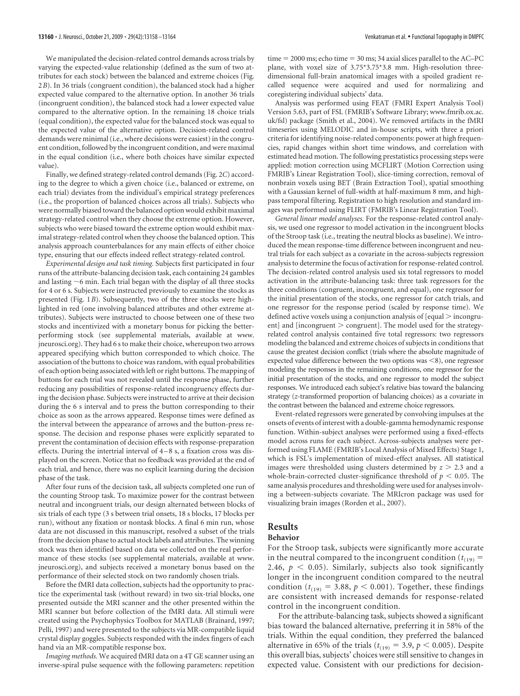We manipulated the decision-related control demands across trials by varying the expected-value relationship (defined as the sum of two attributes for each stock) between the balanced and extreme choices (Fig. 2*B*). In 36 trials (congruent condition), the balanced stock had a higher expected value compared to the alternative option. In another 36 trials (incongruent condition), the balanced stock had a lower expected value compared to the alternative option. In the remaining 18 choice trials (equal condition), the expected value for the balanced stock was equal to the expected value of the alternative option. Decision-related control demands were minimal (i.e., where decisions were easiest) in the congruent condition, followed by the incongruent condition, and were maximal in the equal condition (i.e., where both choices have similar expected value).

Finally, we defined strategy-related control demands (Fig. 2*C*) according to the degree to which a given choice (i.e., balanced or extreme, on each trial) deviates from the individual's empirical strategy preferences (i.e., the proportion of balanced choices across all trials). Subjects who were normally biased toward the balanced option would exhibit maximal strategy-related control when they choose the extreme option. However, subjects who were biased toward the extreme option would exhibit maximal strategy-related control when they choose the balanced option. This analysis approach counterbalances for any main effects of either choice type, ensuring that our effects indeed reflect strategy-related control.

*Experimental design and task timing.* Subjects first participated in four runs of the attribute-balancing decision task, each containing 24 gambles and lasting  $~6$  min. Each trial began with the display of all three stocks for 4 or 6 s. Subjects were instructed previously to examine the stocks as presented (Fig. 1*B*). Subsequently, two of the three stocks were highlighted in red (one involving balanced attributes and other extreme attributes). Subjects were instructed to choose between one of these two stocks and incentivized with a monetary bonus for picking the betterperforming stock (see supplemental materials, available at www. jneurosci.org). They had 6 s to make their choice, whereupon two arrows appeared specifying which button corresponded to which choice. The association of the buttons to choice was random, with equal probabilities of each option being associated with left or right buttons. The mapping of buttons for each trial was not revealed until the response phase, further reducing any possibilities of response-related incongruency effects during the decision phase. Subjects were instructed to arrive at their decision during the 6 s interval and to press the button corresponding to their choice as soon as the arrows appeared. Response times were defined as the interval between the appearance of arrows and the button-press response. The decision and response phases were explicitly separated to prevent the contamination of decision effects with response-preparation effects. During the intertrial interval of  $4-8$  s, a fixation cross was displayed on the screen. Notice that no feedback was provided at the end of each trial, and hence, there was no explicit learning during the decision phase of the task.

After four runs of the decision task, all subjects completed one run of the counting Stroop task. To maximize power for the contrast between neutral and incongruent trials, our design alternated between blocks of six trials of each type (3 s between trial onsets, 18 s blocks, 17 blocks per run), without any fixation or nontask blocks. A final 6 min run, whose data are not discussed in this manuscript, resolved a subset of the trials from the decision phase to actual stock labels and attributes. The winning stock was then identified based on data we collected on the real performance of these stocks (see supplemental materials, available at www. jneurosci.org), and subjects received a monetary bonus based on the performance of their selected stock on two randomly chosen trials.

Before the fMRI data collection, subjects had the opportunity to practice the experimental task (without reward) in two six-trial blocks, one presented outside the MRI scanner and the other presented within the MRI scanner but before collection of the fMRI data. All stimuli were created using the Psychophysics Toolbox for MATLAB (Brainard, 1997; Pelli, 1997) and were presented to the subjects via MR-compatible liquid crystal display goggles. Subjects responded with the index fingers of each hand via an MR-compatible response box.

*Imaging methods.* We acquired fMRI data on a 4T GE scanner using an inverse-spiral pulse sequence with the following parameters: repetition  $time = 2000$  ms; echo time  $= 30$  ms; 34 axial slices parallel to the AC–PC plane, with voxel size of 3.75\*3.75\*3.8 mm. High-resolution threedimensional full-brain anatomical images with a spoiled gradient recalled sequence were acquired and used for normalizing and coregistering individual subjects' data.

Analysis was performed using FEAT (FMRI Expert Analysis Tool) Version 5.63, part of FSL (FMRIB's Software Library; www.fmrib.ox.ac. uk/fsl) package (Smith et al., 2004). We removed artifacts in the fMRI timeseries using MELODIC and in-house scripts, with three a priori criteria for identifying noise-related components: power at high frequencies, rapid changes within short time windows, and correlation with estimated head motion. The following prestatistics processing steps were applied: motion correction using MCFLIRT (Motion Correction using FMRIB's Linear Registration Tool), slice-timing correction, removal of nonbrain voxels using BET (Brain Extraction Tool), spatial smoothing with a Gaussian kernel of full-width at half-maximum 8 mm, and highpass temporal filtering. Registration to high resolution and standard images was performed using FLIRT (FMRIB's Linear Registration Tool).

*General linear model analyses.* For the response-related control analysis, we used one regressor to model activation in the incongruent blocks of the Stroop task (i.e., treating the neutral blocks as baseline). We introduced the mean response-time difference between incongruent and neutral trials for each subject as a covariate in the across-subjects regression analysis to determine the focus of activation for response-related control. The decision-related control analysis used six total regressors to model activation in the attribute-balancing task: three task regressors for the three conditions (congruent, incongruent, and equal), one regressor for the initial presentation of the stocks, one regressor for catch trials, and one regressor for the response period (scaled by response time). We defined active voxels using a conjunction analysis of [equal > incongruent] and [incongruent  $>$  congruent]. The model used for the strategyrelated control analysis contained five total regressors: two regressors modeling the balanced and extreme choices of subjects in conditions that cause the greatest decision conflict (trials where the absolute magnitude of expected value difference between the two options was  $<8$ ), one regressor modeling the responses in the remaining conditions, one regressor for the initial presentation of the stocks, and one regressor to model the subject responses. We introduced each subject's relative bias toward the balancing strategy (*z*-transformed proportion of balancing choices) as a covariate in the contrast between the balanced and extreme choice regressors.

Event-related regressors were generated by convolving impulses at the onsets of events of interest with a double-gamma hemodynamic response function. Within-subject analyses were performed using a fixed-effects model across runs for each subject. Across-subjects analyses were performed using FLAME (FMRIB's Local Analysis of Mixed Effects) Stage 1, which is FSL's implementation of mixed-effect analyses. All statistical images were thresholded using clusters determined by  $z > 2.3$  and a whole-brain-corrected cluster-significance threshold of  $p < 0.05$ . The same analysis procedures and thresholding were used for analyses involving a between-subjects covariate. The MRIcron package was used for visualizing brain images (Rorden et al., 2007).

## **Results**

## **Behavior**

For the Stroop task, subjects were significantly more accurate in the neutral compared to the incongruent condition  $(t_{(19)} =$ 2.46,  $p < 0.05$ ). Similarly, subjects also took significantly longer in the incongruent condition compared to the neutral condition ( $t_{(19)} = 3.88$ ,  $p < 0.001$ ). Together, these findings are consistent with increased demands for response-related control in the incongruent condition.

For the attribute-balancing task, subjects showed a significant bias toward the balanced alternative, preferring it in 58% of the trials. Within the equal condition, they preferred the balanced alternative in 65% of the trials ( $t_{(19)} = 3.9$ ,  $p < 0.005$ ). Despite this overall bias, subjects' choices were still sensitive to changes in expected value. Consistent with our predictions for decision-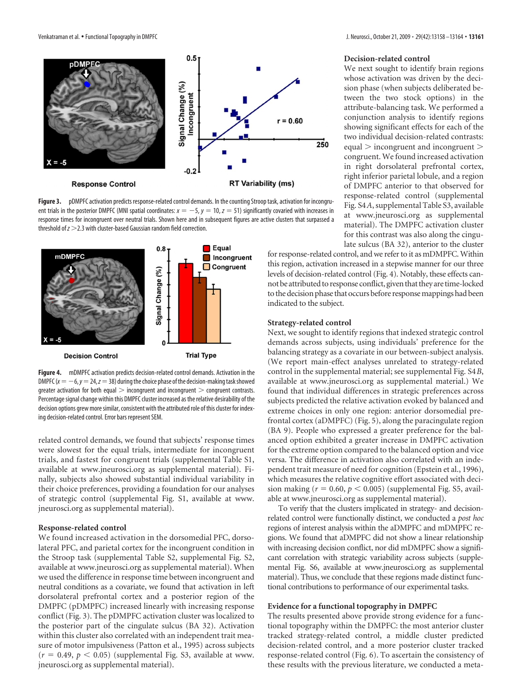

**Figure 3.** pDMPFC activation predicts response-related control demands. In the counting Stroop task, activation for incongruent trials in the posterior DMPFC (MNI spatial coordinates:  $x = -5$ ,  $y = 10$ ,  $z = 51$ ) significantly covaried with increases in response times for incongruent over neutral trials. Shown here and in subsequent figures are active clusters that surpassed a threshold of  $z >$  2.3 with cluster-based Gaussian random field correction.



**Figure 4.** mDMPFC activation predicts decision-related control demands. Activation in the DMPFC ( $x = -6$ ,  $y = 24$ ,  $z = 38$ ) during the choice phase of the decision-making task showed greater activation for both equal  $>$  incongruent and incongruent  $>$  congruent contrasts. Percentage signal change within this DMPFC cluster increased as the relative desirability of the decision options grew more similar, consistent with the attributed role of this cluster for indexing decision-related control. Error bars represent SEM.

related control demands, we found that subjects' response times were slowest for the equal trials, intermediate for incongruent trials, and fastest for congruent trials (supplemental Table S1, available at www.jneurosci.org as supplemental material). Finally, subjects also showed substantial individual variability in their choice preferences, providing a foundation for our analyses of strategic control (supplemental Fig. S1, available at www. jneurosci.org as supplemental material).

#### **Response-related control**

We found increased activation in the dorsomedial PFC, dorsolateral PFC, and parietal cortex for the incongruent condition in the Stroop task (supplemental Table S2, supplemental Fig. S2, available at www.jneurosci.org as supplemental material). When we used the difference in response time between incongruent and neutral conditions as a covariate, we found that activation in left dorsolateral prefrontal cortex and a posterior region of the DMPFC (pDMPFC) increased linearly with increasing response conflict (Fig. 3). The pDMPFC activation cluster was localized to the posterior part of the cingulate sulcus (BA 32). Activation within this cluster also correlated with an independent trait measure of motor impulsiveness (Patton et al., 1995) across subjects  $(r = 0.49, p < 0.05)$  (supplemental Fig. S3, available at www. jneurosci.org as supplemental material).

Venkatraman et al. • Functional Topography in DMPFC J. Neurosci., October 21, 2009 • 29(42):13158 –13164 **• 13161**

#### **Decision-related control**

We next sought to identify brain regions whose activation was driven by the decision phase (when subjects deliberated between the two stock options) in the attribute-balancing task. We performed a conjunction analysis to identify regions showing significant effects for each of the two individual decision-related contrasts:  $equal$   $>$  incongruent and incongruent  $>$ congruent. We found increased activation in right dorsolateral prefrontal cortex, right inferior parietal lobule, and a region of DMPFC anterior to that observed for response-related control (supplemental Fig. S4*A*, supplemental Table S3, available at www.jneurosci.org as supplemental material). The DMPFC activation cluster for this contrast was also along the cingulate sulcus (BA 32), anterior to the cluster

for response-related control, and we refer to it as mDMPFC.Within this region, activation increased in a stepwise manner for our three levels of decision-related control (Fig. 4). Notably, these effects cannot be attributed to response conflict, given that they are time-locked to the decision phase that occurs before responsemappings had been indicated to the subject.

#### **Strategy-related control**

Next, we sought to identify regions that indexed strategic control demands across subjects, using individuals' preference for the balancing strategy as a covariate in our between-subject analysis. (We report main-effect analyses unrelated to strategy-related control in the supplemental material; see supplemental Fig. S4*B*, available at www.jneurosci.org as supplemental material.) We found that individual differences in strategic preferences across subjects predicted the relative activation evoked by balanced and extreme choices in only one region: anterior dorsomedial prefrontal cortex (aDMPFC) (Fig. 5), along the paracingulate region (BA 9). People who expressed a greater preference for the balanced option exhibited a greater increase in DMPFC activation for the extreme option compared to the balanced option and vice versa. The difference in activation also correlated with an independent trait measure of need for cognition (Epstein et al., 1996), which measures the relative cognitive effort associated with decision making ( $r = 0.60$ ,  $p < 0.005$ ) (supplemental Fig. S5, available at www.jneurosci.org as supplemental material).

To verify that the clusters implicated in strategy- and decisionrelated control were functionally distinct, we conducted a *post hoc* regions of interest analysis within the aDMPFC and mDMPFC regions. We found that aDMPFC did not show a linear relationship with increasing decision conflict, nor did mDMPFC show a significant correlation with strategic variability across subjects (supplemental Fig. S6, available at www.jneurosci.org as supplemental material). Thus, we conclude that these regions made distinct functional contributions to performance of our experimental tasks.

### **Evidence for a functional topography in DMPFC**

The results presented above provide strong evidence for a functional topography within the DMPFC: the most anterior cluster tracked strategy-related control, a middle cluster predicted decision-related control, and a more posterior cluster tracked response-related control (Fig. 6). To ascertain the consistency of these results with the previous literature, we conducted a meta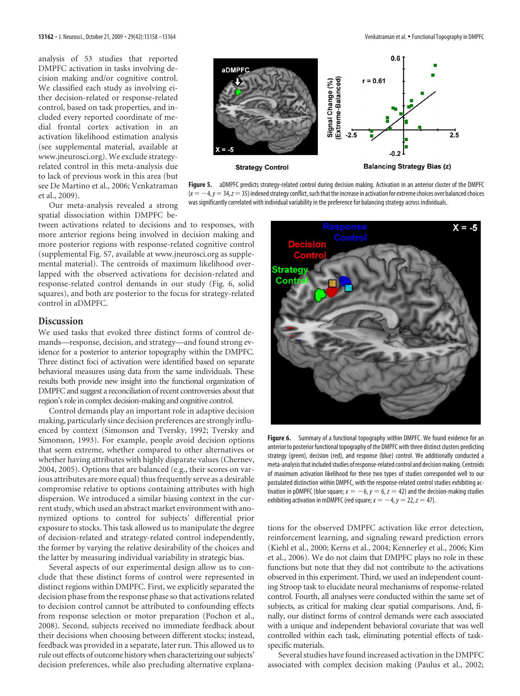analysis of 53 studies that reported DMPFC activation in tasks involving decision making and/or cognitive control. We classified each study as involving either decision-related or response-related control, based on task properties, and included every reported coordinate of medial frontal cortex activation in an activation likelihood estimation analysis (see supplemental material, available at www.jneurosci.org). We exclude strategyrelated control in this meta-analysis due to lack of previous work in this area (but see De Martino et al., 2006; Venkatraman et al., 2009).

Our meta-analysis revealed a strong spatial dissociation within DMPFC be-

tween activations related to decisions and to responses, with more anterior regions being involved in decision making and more posterior regions with response-related cognitive control (supplemental Fig. S7, available at www.jneurosci.org as supplemental material). The centroids of maximum likelihood overlapped with the observed activations for decision-related and response-related control demands in our study (Fig. 6, solid squares), and both are posterior to the focus for strategy-related control in aDMPFC.

## **Discussion**

We used tasks that evoked three distinct forms of control demands—response, decision, and strategy—and found strong evidence for a posterior to anterior topography within the DMPFC. Three distinct foci of activation were identified based on separate behavioral measures using data from the same individuals. These results both provide new insight into the functional organization of DMPFC and suggest a reconciliation of recent controversies about that region's role in complex decision-making and cognitive control.

Control demands play an important role in adaptive decision making, particularly since decision preferences are strongly influenced by context (Simonson and Tversky, 1992; Tversky and Simonson, 1993). For example, people avoid decision options that seem extreme, whether compared to other alternatives or whether having attributes with highly disparate values (Chernev, 2004, 2005). Options that are balanced (e.g., their scores on various attributes are more equal) thus frequently serve as a desirable compromise relative to options containing attributes with high dispersion. We introduced a similar biasing context in the current study, which used an abstract market environment with anonymized options to control for subjects' differential prior exposure to stocks. This task allowed us to manipulate the degree of decision-related and strategy-related control independently, the former by varying the relative desirability of the choices and the latter by measuring individual variability in strategic bias.

Several aspects of our experimental design allow us to conclude that these distinct forms of control were represented in distinct regions within DMPFC. First, we explicitly separated the decision phase from the response phase so that activations related to decision control cannot be attributed to confounding effects from response selection or motor preparation (Pochon et al., 2008). Second, subjects received no immediate feedback about their decisions when choosing between different stocks; instead, feedback was provided in a separate, later run. This allowed us to rule out effects of outcome history when characterizing our subjects' decision preferences, while also precluding alternative explana-





**Figure 5.** aDMPFC predicts strategy-related control during decision making. Activation in an anterior cluster of the DMPFC  $(x = -4, y = 34, z = 35)$  indexed strategy conflict, such that the increase in activation for extreme choices over balanced choices was significantly correlated with individual variability in the preference for balancing strategy across individuals.



**Figure 6.** Summary of a functional topography within DMPFC. We found evidence for an anterior to posterior functional topography of the DMPFC with three distinct clusters predicting strategy (green), decision (red), and response (blue) control. We additionally conducted a meta-analysis that included studies of response-related control and decision making. Centroids of maximum activation likelihood for these two types of studies corresponded well to our postulated distinction within DMPFC, with the response-related control studies exhibiting activation in pDMPFC (blue square;  $x = -6$ ,  $y = 6$ ,  $z = 42$ ) and the decision-making studies exhibiting activation in mDMPFC (red square;  $x = -4$ ,  $y = 22$ ,  $z = 47$ ).

tions for the observed DMPFC activation like error detection, reinforcement learning, and signaling reward prediction errors (Kiehl et al., 2000; Kerns et al., 2004; Kennerley et al., 2006; Kim et al., 2006). We do not claim that DMPFC plays no role in these functions but note that they did not contribute to the activations observed in this experiment. Third, we used an independent counting Stroop task to elucidate neural mechanisms of response-related control. Fourth, all analyses were conducted within the same set of subjects, as critical for making clear spatial comparisons. And, finally, our distinct forms of control demands were each associated with a unique and independent behavioral covariate that was well controlled within each task, eliminating potential effects of taskspecific materials.

Several studies have found increased activation in the DMPFC associated with complex decision making (Paulus et al., 2002;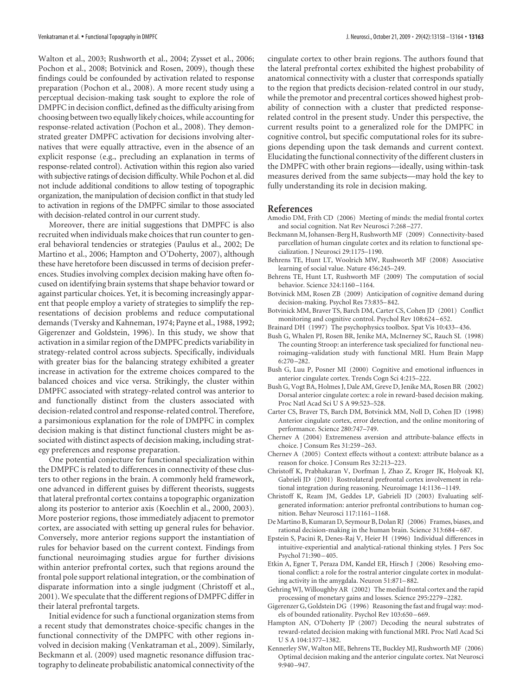Walton et al., 2003; Rushworth et al., 2004; Zysset et al., 2006; Pochon et al., 2008; Botvinick and Rosen, 2009), though these findings could be confounded by activation related to response preparation (Pochon et al., 2008). A more recent study using a perceptual decision-making task sought to explore the role of DMPFC in decision conflict, defined as the difficulty arising from choosing between two equally likely choices, while accounting for response-related activation (Pochon et al., 2008). They demonstrated greater DMPFC activation for decisions involving alternatives that were equally attractive, even in the absence of an explicit response (e.g., precluding an explanation in terms of response-related control). Activation within this region also varied with subjective ratings of decision difficulty. While Pochon et al. did not include additional conditions to allow testing of topographic organization, the manipulation of decision conflict in that study led to activation in regions of the DMPFC similar to those associated with decision-related control in our current study.

Moreover, there are initial suggestions that DMPFC is also recruited when individuals make choices that run counter to general behavioral tendencies or strategies (Paulus et al., 2002; De Martino et al., 2006; Hampton and O'Doherty, 2007), although these have heretofore been discussed in terms of decision preferences. Studies involving complex decision making have often focused on identifying brain systems that shape behavior toward or against particular choices. Yet, it is becoming increasingly apparent that people employ a variety of strategies to simplify the representations of decision problems and reduce computational demands (Tversky and Kahneman, 1974; Payne et al., 1988, 1992; Gigerenzer and Goldstein, 1996). In this study, we show that activation in a similar region of the DMPFC predicts variability in strategy-related control across subjects. Specifically, individuals with greater bias for the balancing strategy exhibited a greater increase in activation for the extreme choices compared to the balanced choices and vice versa. Strikingly, the cluster within DMPFC associated with strategy-related control was anterior to and functionally distinct from the clusters associated with decision-related control and response-related control. Therefore, a parsimonious explanation for the role of DMPFC in complex decision making is that distinct functional clusters might be associated with distinct aspects of decision making, including strategy preferences and response preparation.

One potential conjecture for functional specialization within the DMPFC is related to differences in connectivity of these clusters to other regions in the brain. A commonly held framework, one advanced in different guises by different theorists, suggests that lateral prefrontal cortex contains a topographic organization along its posterior to anterior axis (Koechlin et al., 2000, 2003). More posterior regions, those immediately adjacent to premotor cortex, are associated with setting up general rules for behavior. Conversely, more anterior regions support the instantiation of rules for behavior based on the current context. Findings from functional neuroimaging studies argue for further divisions within anterior prefrontal cortex, such that regions around the frontal pole support relational integration, or the combination of disparate information into a single judgment (Christoff et al., 2001). We speculate that the different regions of DMPFC differ in their lateral prefrontal targets.

Initial evidence for such a functional organization stems from a recent study that demonstrates choice-specific changes in the functional connectivity of the DMPFC with other regions involved in decision making (Venkatraman et al., 2009). Similarly, Beckmann et al. (2009) used magnetic resonance diffusion tractography to delineate probabilistic anatomical connectivity of the

cingulate cortex to other brain regions. The authors found that the lateral prefrontal cortex exhibited the highest probability of anatomical connectivity with a cluster that corresponds spatially to the region that predicts decision-related control in our study, while the premotor and precentral cortices showed highest probability of connection with a cluster that predicted responserelated control in the present study. Under this perspective, the current results point to a generalized role for the DMPFC in cognitive control, but specific computational roles for its subregions depending upon the task demands and current context. Elucidating the functional connectivity of the different clusters in the DMPFC with other brain regions—ideally, using within-task measures derived from the same subjects—may hold the key to fully understanding its role in decision making.

## **References**

- Amodio DM, Frith CD (2006) Meeting of minds: the medial frontal cortex and social cognition. Nat Rev Neurosci 7:268 –277.
- Beckmann M, Johansen-Berg H, Rushworth MF (2009) Connectivity-based parcellation of human cingulate cortex and its relation to functional specialization. J Neurosci 29:1175–1190.
- Behrens TE, Hunt LT, Woolrich MW, Rushworth MF (2008) Associative learning of social value. Nature 456:245–249.
- Behrens TE, Hunt LT, Rushworth MF (2009) The computation of social behavior. Science 324:1160 –1164.
- Botvinick MM, Rosen ZB (2009) Anticipation of cognitive demand during decision-making. Psychol Res 73:835–842.
- Botvinick MM, Braver TS, Barch DM, Carter CS, Cohen JD (2001) Conflict monitoring and cognitive control. Psychol Rev 108:624 –652.
- Brainard DH (1997) The psychophysics toolbox. Spat Vis 10:433–436.
- Bush G, Whalen PJ, Rosen BR, Jenike MA, McInerney SC, Rauch SL (1998) The counting Stroop: an interference task specialized for functional neuroimaging–validation study with functional MRI. Hum Brain Mapp 6:270 –282.
- Bush G, Luu P, Posner MI (2000) Cognitive and emotional influences in anterior cingulate cortex. Trends Cogn Sci 4:215–222.
- Bush G, Vogt BA, Holmes J, Dale AM, Greve D, Jenike MA, Rosen BR (2002) Dorsal anterior cingulate cortex: a role in reward-based decision making. Proc Natl Acad Sci U S A 99:523–528.
- Carter CS, Braver TS, Barch DM, Botvinick MM, Noll D, Cohen JD (1998) Anterior cingulate cortex, error detection, and the online monitoring of performance. Science 280:747–749.
- Chernev A (2004) Extremeness aversion and attribute-balance effects in choice. J Consum Res 31:259 –263.
- Chernev A (2005) Context effects without a context: attribute balance as a reason for choice. J Consum Res 32:213–223.
- Christoff K, Prabhakaran V, Dorfman J, Zhao Z, Kroger JK, Holyoak KJ, Gabrieli JD (2001) Rostrolateral prefrontal cortex involvement in relational integration during reasoning. Neuroimage 14:1136 –1149.
- Christoff K, Ream JM, Geddes LP, Gabrieli JD (2003) Evaluating selfgenerated information: anterior prefrontal contributions to human cognition. Behav Neurosci 117:1161–1168.
- De Martino B, Kumaran D, Seymour B, Dolan RJ (2006) Frames, biases, and rational decision-making in the human brain. Science 313:684 –687.
- Epstein S, Pacini R, Denes-Raj V, Heier H (1996) Individual differences in intuitive-experiential and analytical-rational thinking styles. J Pers Soc Psychol 71:390 –405.
- Etkin A, Egner T, Peraza DM, Kandel ER, Hirsch J (2006) Resolving emotional conflict: a role for the rostral anterior cingulate cortex in modulating activity in the amygdala. Neuron 51:871–882.
- Gehring WJ, Willoughby AR (2002) The medial frontal cortex and the rapid processing of monetary gains and losses. Science 295:2279 –2282.
- Gigerenzer G, Goldstein DG (1996) Reasoning the fast and frugal way: models of bounded rationality. Psychol Rev 103:650 –669.
- Hampton AN, O'Doherty JP (2007) Decoding the neural substrates of reward-related decision making with functional MRI. Proc Natl Acad Sci U S A 104:1377–1382.
- Kennerley SW, Walton ME, Behrens TE, Buckley MJ, Rushworth MF (2006) Optimal decision making and the anterior cingulate cortex. Nat Neurosci 9:940 –947.